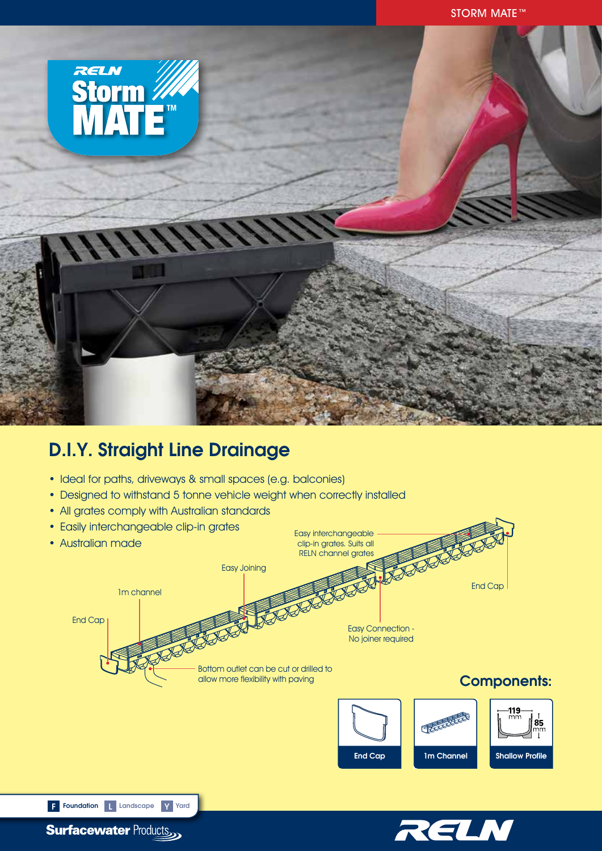

# D.I.Y. Straight Line Drainage

- Ideal for paths, driveways & small spaces (e.g. balconies)
- Designed to withstand 5 tonne vehicle weight when correctly installed
- All grates comply with Australian standards
- Easily interchangeable clip-in grates Easy interchangeable • Australian made clip-in grates. Suits all RELN channel gratesEasy Joining 1m channel End Cap End Cap Easy Connection - No joiner required Bottom outlet can be cut or drilled to<br>allow more flexibility with paving Components:  $\Box$  $\frac{119}{mm}$ **85**<br>|mm<br>| T End Cap 1m Channel Shallow Profile F Foundation | Landscape Y Yard



**Surfacewater Products**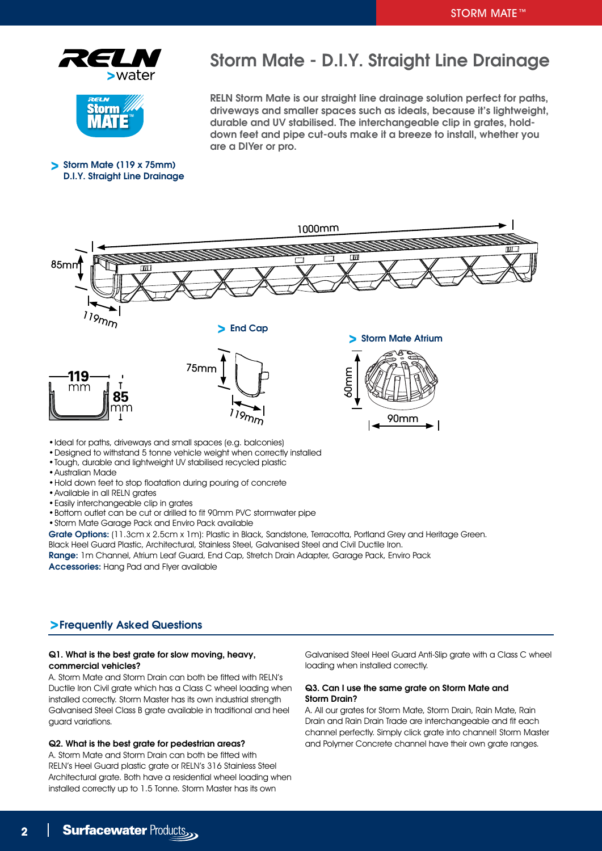



Storm Mate (119 x 75mm) D.I.Y. Straight Line Drainage

# Storm Mate - D.I.Y. Straight Line Drainage

RELN Storm Mate is our straight line drainage solution perfect for paths, driveways and smaller spaces such as ideals, because it's lightweight, durable and UV stabilised. The interchangeable clip in grates, holddown feet and pipe cut-outs make it a breeze to install, whether you are a DIYer or pro.



- •Tough, durable and lightweight UV stabilised recycled plastic
- •Australian Made
- •Hold down feet to stop floatation during pouring of concrete
- •Available in all RELN grates
- •Easily interchangeable clip in grates
- •Bottom outlet can be cut or drilled to fit 90mm PVC stormwater pipe
- •Storm Mate Garage Pack and Enviro Pack available

Grate Options: (11.3cm x 2.5cm x 1m): Plastic in Black, Sandstone, Terracotta, Portland Grey and Heritage Green.

Black Heel Guard Plastic, Architectural, Stainless Steel, Galvanised Steel and Civil Ductile Iron. Range: 1m Channel, Atrium Leaf Guard, End Cap, Stretch Drain Adapter, Garage Pack, Enviro Pack

Accessories: Hang Pad and Flyer available

### Frequently Asked Questions

### Q1. What is the best grate for slow moving, heavy, commercial vehicles?

A. Storm Mate and Storm Drain can both be fitted with RELN's Ductile Iron Civil grate which has a Class C wheel loading when installed correctly. Storm Master has its own industrial strength Galvanised Steel Class B grate available in traditional and heel guard variations.

### Q2. What is the best grate for pedestrian areas?

A. Storm Mate and Storm Drain can both be fitted with RELN's Heel Guard plastic grate or RELN's 316 Stainless Steel Architectural grate. Both have a residential wheel loading when installed correctly up to 1.5 Tonne. Storm Master has its own

Galvanised Steel Heel Guard Anti-Slip grate with a Class C wheel loading when installed correctly.

#### Q3. Can I use the same grate on Storm Mate and Storm Drain?

A. All our grates for Storm Mate, Storm Drain, Rain Mate, Rain Drain and Rain Drain Trade are interchangeable and fit each channel perfectly. Simply click grate into channel! Storm Master and Polymer Concrete channel have their own grate ranges.